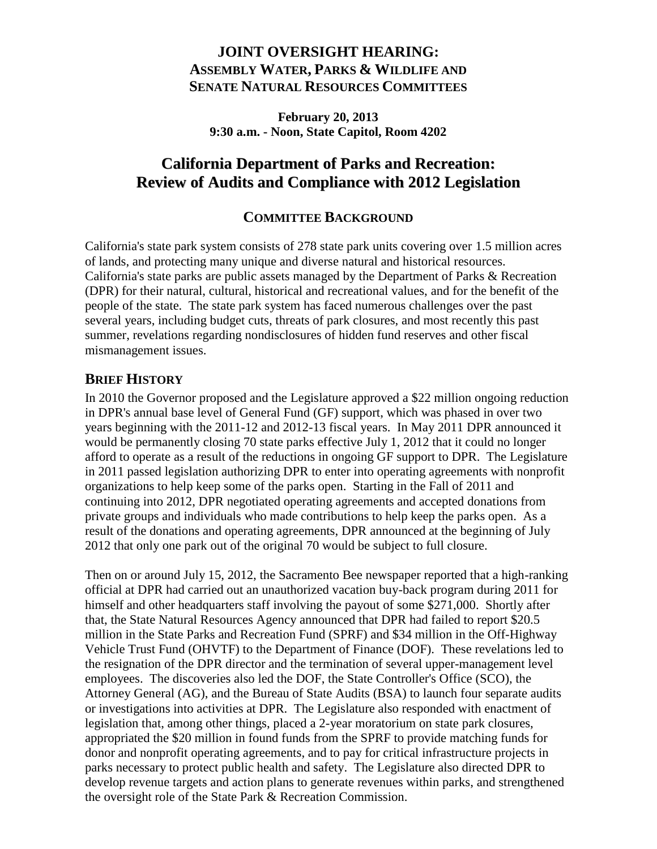## **JOINT OVERSIGHT HEARING: ASSEMBLY WATER, PARKS & WILDLIFE AND SENATE NATURAL RESOURCES COMMITTEES**

**February 20, 2013 9:30 a.m. - Noon, State Capitol, Room 4202**

## **California Department of Parks and Recreation: Review of Audits and Compliance with 2012 Legislation**

### **COMMITTEE BACKGROUND**

California's state park system consists of 278 state park units covering over 1.5 million acres of lands, and protecting many unique and diverse natural and historical resources. California's state parks are public assets managed by the Department of Parks & Recreation (DPR) for their natural, cultural, historical and recreational values, and for the benefit of the people of the state. The state park system has faced numerous challenges over the past several years, including budget cuts, threats of park closures, and most recently this past summer, revelations regarding nondisclosures of hidden fund reserves and other fiscal mismanagement issues.

### **BRIEF HISTORY**

In 2010 the Governor proposed and the Legislature approved a \$22 million ongoing reduction in DPR's annual base level of General Fund (GF) support, which was phased in over two years beginning with the 2011-12 and 2012-13 fiscal years. In May 2011 DPR announced it would be permanently closing 70 state parks effective July 1, 2012 that it could no longer afford to operate as a result of the reductions in ongoing GF support to DPR. The Legislature in 2011 passed legislation authorizing DPR to enter into operating agreements with nonprofit organizations to help keep some of the parks open. Starting in the Fall of 2011 and continuing into 2012, DPR negotiated operating agreements and accepted donations from private groups and individuals who made contributions to help keep the parks open. As a result of the donations and operating agreements, DPR announced at the beginning of July 2012 that only one park out of the original 70 would be subject to full closure.

Then on or around July 15, 2012, the Sacramento Bee newspaper reported that a high-ranking official at DPR had carried out an unauthorized vacation buy-back program during 2011 for himself and other headquarters staff involving the payout of some \$271,000. Shortly after that, the State Natural Resources Agency announced that DPR had failed to report \$20.5 million in the State Parks and Recreation Fund (SPRF) and \$34 million in the Off-Highway Vehicle Trust Fund (OHVTF) to the Department of Finance (DOF). These revelations led to the resignation of the DPR director and the termination of several upper-management level employees. The discoveries also led the DOF, the State Controller's Office (SCO), the Attorney General (AG), and the Bureau of State Audits (BSA) to launch four separate audits or investigations into activities at DPR. The Legislature also responded with enactment of legislation that, among other things, placed a 2-year moratorium on state park closures, appropriated the \$20 million in found funds from the SPRF to provide matching funds for donor and nonprofit operating agreements, and to pay for critical infrastructure projects in parks necessary to protect public health and safety. The Legislature also directed DPR to develop revenue targets and action plans to generate revenues within parks, and strengthened the oversight role of the State Park & Recreation Commission.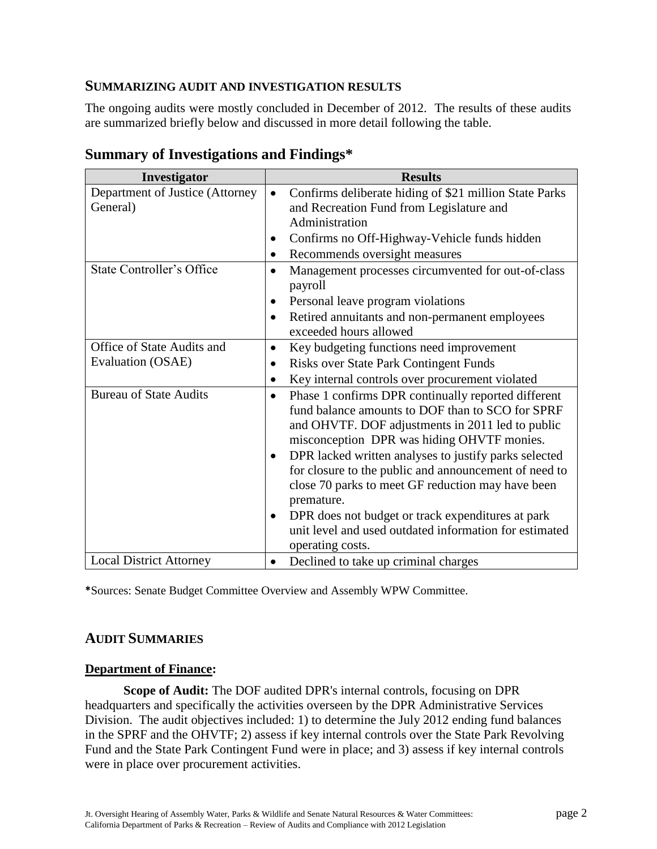#### **SUMMARIZING AUDIT AND INVESTIGATION RESULTS**

The ongoing audits were mostly concluded in December of 2012. The results of these audits are summarized briefly below and discussed in more detail following the table.

| Investigator                     | <b>Results</b>                                                   |
|----------------------------------|------------------------------------------------------------------|
| Department of Justice (Attorney  | Confirms deliberate hiding of \$21 million State Parks           |
| General)                         | and Recreation Fund from Legislature and                         |
|                                  | Administration                                                   |
|                                  | Confirms no Off-Highway-Vehicle funds hidden                     |
|                                  | Recommends oversight measures<br>$\bullet$                       |
| <b>State Controller's Office</b> | Management processes circumvented for out-of-class<br>$\bullet$  |
|                                  | payroll                                                          |
|                                  | Personal leave program violations                                |
|                                  | Retired annuitants and non-permanent employees                   |
|                                  | exceeded hours allowed                                           |
| Office of State Audits and       | Key budgeting functions need improvement<br>$\bullet$            |
| Evaluation (OSAE)                | Risks over State Park Contingent Funds<br>$\bullet$              |
|                                  | Key internal controls over procurement violated                  |
| <b>Bureau of State Audits</b>    | Phase 1 confirms DPR continually reported different<br>$\bullet$ |
|                                  | fund balance amounts to DOF than to SCO for SPRF                 |
|                                  | and OHVTF. DOF adjustments in 2011 led to public                 |
|                                  | misconception DPR was hiding OHVTF monies.                       |
|                                  | DPR lacked written analyses to justify parks selected<br>٠       |
|                                  | for closure to the public and announcement of need to            |
|                                  | close 70 parks to meet GF reduction may have been                |
|                                  | premature.                                                       |
|                                  | DPR does not budget or track expenditures at park<br>$\bullet$   |
|                                  | unit level and used outdated information for estimated           |
|                                  | operating costs.                                                 |
| <b>Local District Attorney</b>   | Declined to take up criminal charges                             |

## **Summary of Investigations and Findings\***

**\***Sources: Senate Budget Committee Overview and Assembly WPW Committee.

### **AUDIT SUMMARIES**

#### **Department of Finance:**

**Scope of Audit:** The DOF audited DPR's internal controls, focusing on DPR headquarters and specifically the activities overseen by the DPR Administrative Services Division. The audit objectives included: 1) to determine the July 2012 ending fund balances in the SPRF and the OHVTF; 2) assess if key internal controls over the State Park Revolving Fund and the State Park Contingent Fund were in place; and 3) assess if key internal controls were in place over procurement activities.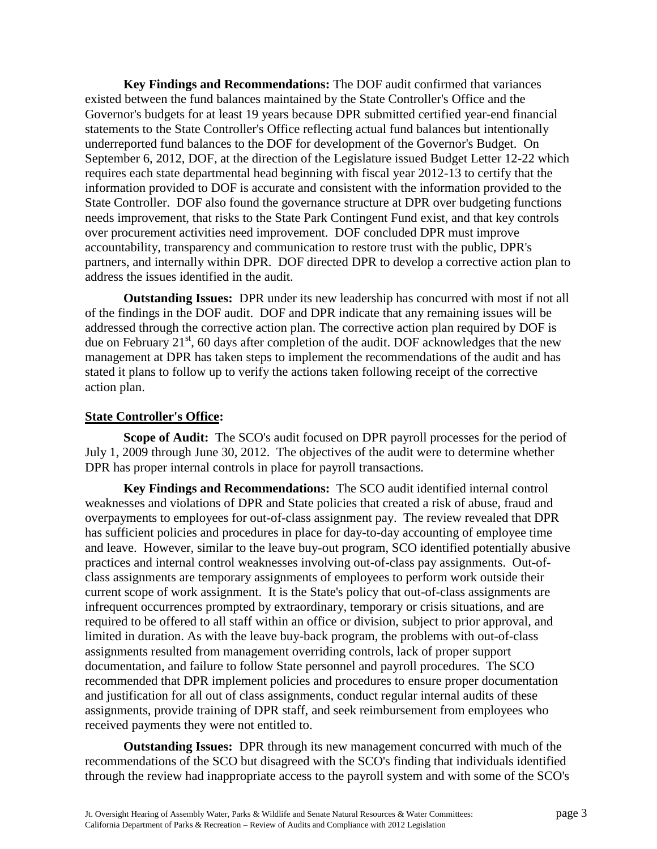**Key Findings and Recommendations:** The DOF audit confirmed that variances existed between the fund balances maintained by the State Controller's Office and the Governor's budgets for at least 19 years because DPR submitted certified year-end financial statements to the State Controller's Office reflecting actual fund balances but intentionally underreported fund balances to the DOF for development of the Governor's Budget. On September 6, 2012, DOF, at the direction of the Legislature issued Budget Letter 12-22 which requires each state departmental head beginning with fiscal year 2012-13 to certify that the information provided to DOF is accurate and consistent with the information provided to the State Controller. DOF also found the governance structure at DPR over budgeting functions needs improvement, that risks to the State Park Contingent Fund exist, and that key controls over procurement activities need improvement. DOF concluded DPR must improve accountability, transparency and communication to restore trust with the public, DPR's partners, and internally within DPR. DOF directed DPR to develop a corrective action plan to address the issues identified in the audit.

**Outstanding Issues:** DPR under its new leadership has concurred with most if not all of the findings in the DOF audit. DOF and DPR indicate that any remaining issues will be addressed through the corrective action plan. The corrective action plan required by DOF is due on February  $21<sup>st</sup>$ , 60 days after completion of the audit. DOF acknowledges that the new management at DPR has taken steps to implement the recommendations of the audit and has stated it plans to follow up to verify the actions taken following receipt of the corrective action plan.

#### **State Controller's Office:**

**Scope of Audit:** The SCO's audit focused on DPR payroll processes for the period of July 1, 2009 through June 30, 2012. The objectives of the audit were to determine whether DPR has proper internal controls in place for payroll transactions.

**Key Findings and Recommendations:** The SCO audit identified internal control weaknesses and violations of DPR and State policies that created a risk of abuse, fraud and overpayments to employees for out-of-class assignment pay. The review revealed that DPR has sufficient policies and procedures in place for day-to-day accounting of employee time and leave. However, similar to the leave buy-out program, SCO identified potentially abusive practices and internal control weaknesses involving out-of-class pay assignments. Out-ofclass assignments are temporary assignments of employees to perform work outside their current scope of work assignment. It is the State's policy that out-of-class assignments are infrequent occurrences prompted by extraordinary, temporary or crisis situations, and are required to be offered to all staff within an office or division, subject to prior approval, and limited in duration. As with the leave buy-back program, the problems with out-of-class assignments resulted from management overriding controls, lack of proper support documentation, and failure to follow State personnel and payroll procedures. The SCO recommended that DPR implement policies and procedures to ensure proper documentation and justification for all out of class assignments, conduct regular internal audits of these assignments, provide training of DPR staff, and seek reimbursement from employees who received payments they were not entitled to.

**Outstanding Issues:** DPR through its new management concurred with much of the recommendations of the SCO but disagreed with the SCO's finding that individuals identified through the review had inappropriate access to the payroll system and with some of the SCO's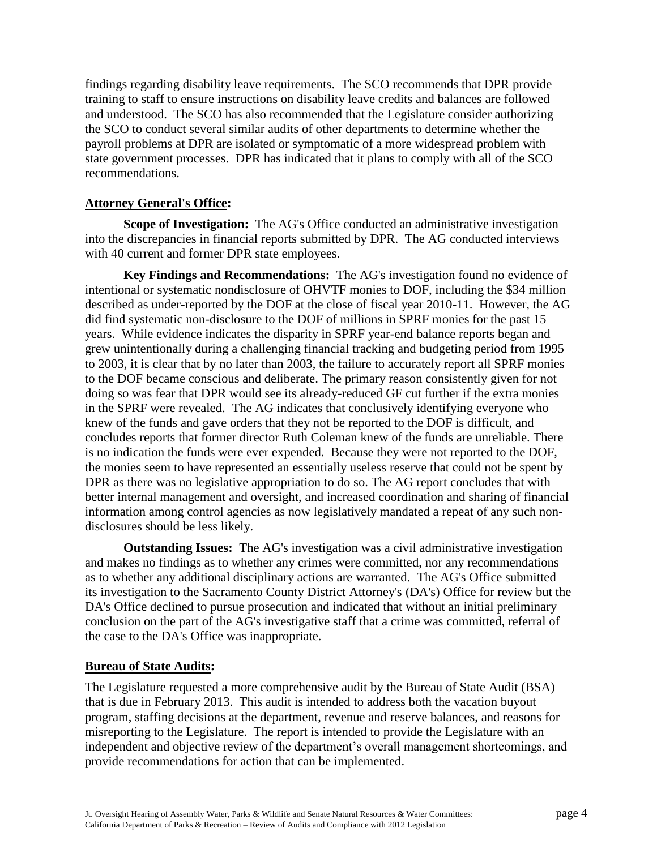findings regarding disability leave requirements. The SCO recommends that DPR provide training to staff to ensure instructions on disability leave credits and balances are followed and understood. The SCO has also recommended that the Legislature consider authorizing the SCO to conduct several similar audits of other departments to determine whether the payroll problems at DPR are isolated or symptomatic of a more widespread problem with state government processes. DPR has indicated that it plans to comply with all of the SCO recommendations.

#### **Attorney General's Office:**

**Scope of Investigation:** The AG's Office conducted an administrative investigation into the discrepancies in financial reports submitted by DPR. The AG conducted interviews with 40 current and former DPR state employees.

**Key Findings and Recommendations:** The AG's investigation found no evidence of intentional or systematic nondisclosure of OHVTF monies to DOF, including the \$34 million described as under-reported by the DOF at the close of fiscal year 2010-11. However, the AG did find systematic non-disclosure to the DOF of millions in SPRF monies for the past 15 years. While evidence indicates the disparity in SPRF year-end balance reports began and grew unintentionally during a challenging financial tracking and budgeting period from 1995 to 2003, it is clear that by no later than 2003, the failure to accurately report all SPRF monies to the DOF became conscious and deliberate. The primary reason consistently given for not doing so was fear that DPR would see its already-reduced GF cut further if the extra monies in the SPRF were revealed. The AG indicates that conclusively identifying everyone who knew of the funds and gave orders that they not be reported to the DOF is difficult, and concludes reports that former director Ruth Coleman knew of the funds are unreliable. There is no indication the funds were ever expended. Because they were not reported to the DOF, the monies seem to have represented an essentially useless reserve that could not be spent by DPR as there was no legislative appropriation to do so. The AG report concludes that with better internal management and oversight, and increased coordination and sharing of financial information among control agencies as now legislatively mandated a repeat of any such nondisclosures should be less likely.

**Outstanding Issues:** The AG's investigation was a civil administrative investigation and makes no findings as to whether any crimes were committed, nor any recommendations as to whether any additional disciplinary actions are warranted. The AG's Office submitted its investigation to the Sacramento County District Attorney's (DA's) Office for review but the DA's Office declined to pursue prosecution and indicated that without an initial preliminary conclusion on the part of the AG's investigative staff that a crime was committed, referral of the case to the DA's Office was inappropriate.

#### **Bureau of State Audits:**

The Legislature requested a more comprehensive audit by the Bureau of State Audit (BSA) that is due in February 2013. This audit is intended to address both the vacation buyout program, staffing decisions at the department, revenue and reserve balances, and reasons for misreporting to the Legislature. The report is intended to provide the Legislature with an independent and objective review of the department's overall management shortcomings, and provide recommendations for action that can be implemented.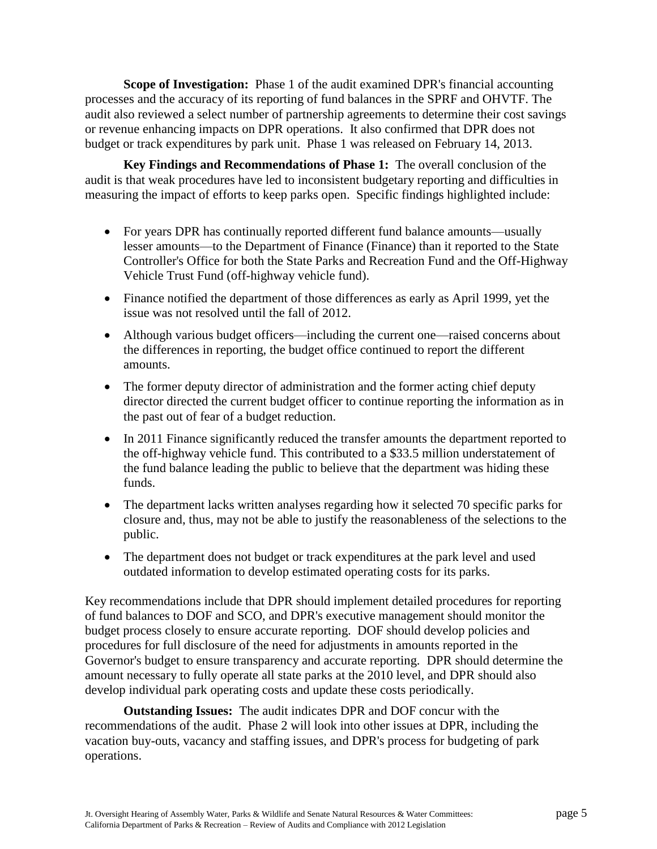**Scope of Investigation:** Phase 1 of the audit examined DPR's financial accounting processes and the accuracy of its reporting of fund balances in the SPRF and OHVTF. The audit also reviewed a select number of partnership agreements to determine their cost savings or revenue enhancing impacts on DPR operations. It also confirmed that DPR does not budget or track expenditures by park unit. Phase 1 was released on February 14, 2013.

**Key Findings and Recommendations of Phase 1:** The overall conclusion of the audit is that weak procedures have led to inconsistent budgetary reporting and difficulties in measuring the impact of efforts to keep parks open. Specific findings highlighted include:

- For years DPR has continually reported different fund balance amounts—usually lesser amounts—to the Department of Finance (Finance) than it reported to the State Controller's Office for both the State Parks and Recreation Fund and the Off-Highway Vehicle Trust Fund (off-highway vehicle fund).
- Finance notified the department of those differences as early as April 1999, yet the issue was not resolved until the fall of 2012.
- Although various budget officers—including the current one—raised concerns about the differences in reporting, the budget office continued to report the different amounts.
- The former deputy director of administration and the former acting chief deputy director directed the current budget officer to continue reporting the information as in the past out of fear of a budget reduction.
- In 2011 Finance significantly reduced the transfer amounts the department reported to the off-highway vehicle fund. This contributed to a \$33.5 million understatement of the fund balance leading the public to believe that the department was hiding these funds.
- The department lacks written analyses regarding how it selected 70 specific parks for closure and, thus, may not be able to justify the reasonableness of the selections to the public.
- The department does not budget or track expenditures at the park level and used outdated information to develop estimated operating costs for its parks.

Key recommendations include that DPR should implement detailed procedures for reporting of fund balances to DOF and SCO, and DPR's executive management should monitor the budget process closely to ensure accurate reporting. DOF should develop policies and procedures for full disclosure of the need for adjustments in amounts reported in the Governor's budget to ensure transparency and accurate reporting. DPR should determine the amount necessary to fully operate all state parks at the 2010 level, and DPR should also develop individual park operating costs and update these costs periodically.

**Outstanding Issues:** The audit indicates DPR and DOF concur with the recommendations of the audit. Phase 2 will look into other issues at DPR, including the vacation buy-outs, vacancy and staffing issues, and DPR's process for budgeting of park operations.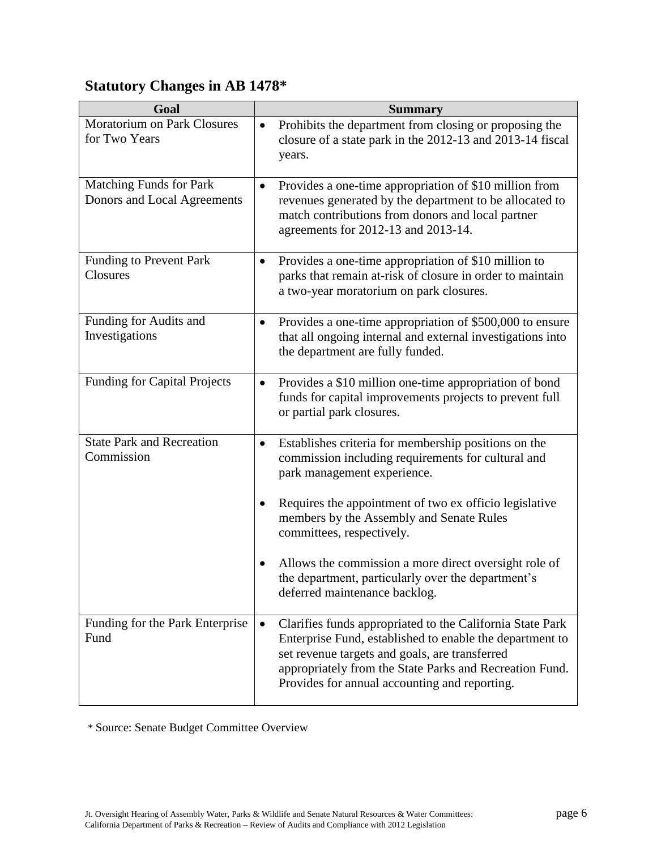# **Statutory Changes in AB 1478\***

| Goal                                                   | <b>Summary</b>                                                                                                                                                                                                                                                                                   |
|--------------------------------------------------------|--------------------------------------------------------------------------------------------------------------------------------------------------------------------------------------------------------------------------------------------------------------------------------------------------|
| Moratorium on Park Closures<br>for Two Years           | Prohibits the department from closing or proposing the<br>$\bullet$<br>closure of a state park in the 2012-13 and 2013-14 fiscal<br>years.                                                                                                                                                       |
| Matching Funds for Park<br>Donors and Local Agreements | Provides a one-time appropriation of \$10 million from<br>$\bullet$<br>revenues generated by the department to be allocated to<br>match contributions from donors and local partner<br>agreements for 2012-13 and 2013-14.                                                                       |
| Funding to Prevent Park<br>Closures                    | Provides a one-time appropriation of \$10 million to<br>$\bullet$<br>parks that remain at-risk of closure in order to maintain<br>a two-year moratorium on park closures.                                                                                                                        |
| Funding for Audits and<br>Investigations               | Provides a one-time appropriation of \$500,000 to ensure<br>$\bullet$<br>that all ongoing internal and external investigations into<br>the department are fully funded.                                                                                                                          |
| <b>Funding for Capital Projects</b>                    | Provides a \$10 million one-time appropriation of bond<br>$\bullet$<br>funds for capital improvements projects to prevent full<br>or partial park closures.                                                                                                                                      |
| <b>State Park and Recreation</b><br>Commission         | Establishes criteria for membership positions on the<br>$\bullet$<br>commission including requirements for cultural and<br>park management experience.                                                                                                                                           |
|                                                        | Requires the appointment of two ex officio legislative<br>٠<br>members by the Assembly and Senate Rules<br>committees, respectively.                                                                                                                                                             |
|                                                        | Allows the commission a more direct oversight role of<br>the department, particularly over the department's<br>deferred maintenance backlog.                                                                                                                                                     |
| Funding for the Park Enterprise<br>Fund                | Clarifies funds appropriated to the California State Park<br>$\bullet$<br>Enterprise Fund, established to enable the department to<br>set revenue targets and goals, are transferred<br>appropriately from the State Parks and Recreation Fund.<br>Provides for annual accounting and reporting. |

\* Source: Senate Budget Committee Overview